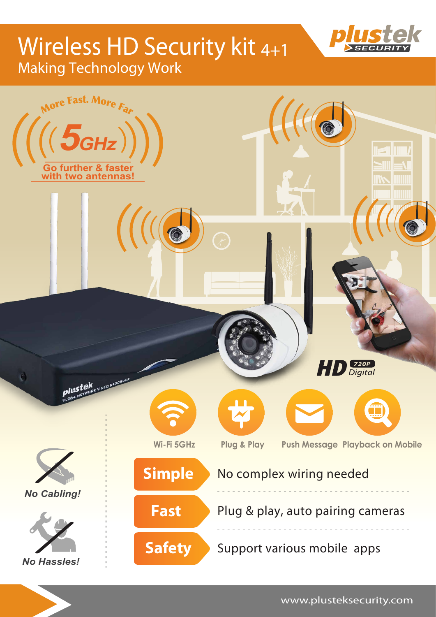# Wireless HD Security kit 4+1 Making Technology Work







www.plusteksecurity.com